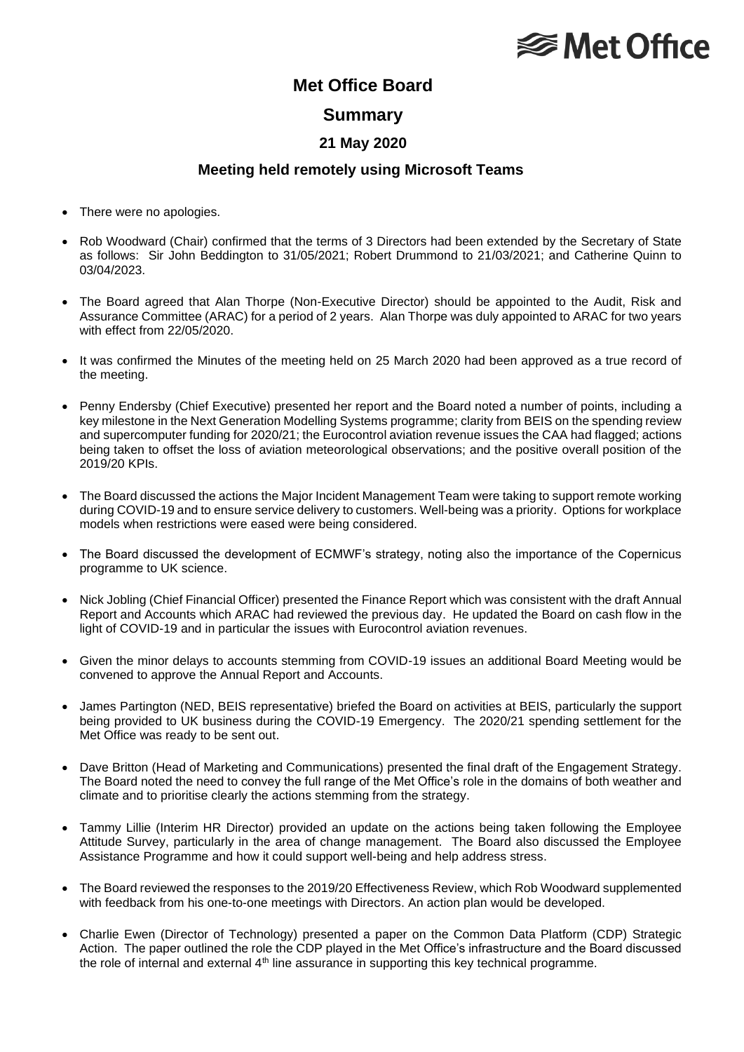## **<del></del>** Met Office

### **Met Office Board**

#### **Summary**

#### **21 May 2020**

#### **Meeting held remotely using Microsoft Teams**

- There were no apologies.
- Rob Woodward (Chair) confirmed that the terms of 3 Directors had been extended by the Secretary of State as follows: Sir John Beddington to 31/05/2021; Robert Drummond to 21/03/2021; and Catherine Quinn to 03/04/2023.
- The Board agreed that Alan Thorpe (Non-Executive Director) should be appointed to the Audit, Risk and Assurance Committee (ARAC) for a period of 2 years. Alan Thorpe was duly appointed to ARAC for two years with effect from 22/05/2020.
- It was confirmed the Minutes of the meeting held on 25 March 2020 had been approved as a true record of the meeting.
- Penny Endersby (Chief Executive) presented her report and the Board noted a number of points, including a key milestone in the Next Generation Modelling Systems programme; clarity from BEIS on the spending review and supercomputer funding for 2020/21; the Eurocontrol aviation revenue issues the CAA had flagged; actions being taken to offset the loss of aviation meteorological observations; and the positive overall position of the 2019/20 KPIs.
- The Board discussed the actions the Major Incident Management Team were taking to support remote working during COVID-19 and to ensure service delivery to customers. Well-being was a priority. Options for workplace models when restrictions were eased were being considered.
- The Board discussed the development of ECMWF's strategy, noting also the importance of the Copernicus programme to UK science.
- Nick Jobling (Chief Financial Officer) presented the Finance Report which was consistent with the draft Annual Report and Accounts which ARAC had reviewed the previous day. He updated the Board on cash flow in the light of COVID-19 and in particular the issues with Eurocontrol aviation revenues.
- Given the minor delays to accounts stemming from COVID-19 issues an additional Board Meeting would be convened to approve the Annual Report and Accounts.
- James Partington (NED, BEIS representative) briefed the Board on activities at BEIS, particularly the support being provided to UK business during the COVID-19 Emergency. The 2020/21 spending settlement for the Met Office was ready to be sent out.
- Dave Britton (Head of Marketing and Communications) presented the final draft of the Engagement Strategy. The Board noted the need to convey the full range of the Met Office's role in the domains of both weather and climate and to prioritise clearly the actions stemming from the strategy.
- Tammy Lillie (Interim HR Director) provided an update on the actions being taken following the Employee Attitude Survey, particularly in the area of change management. The Board also discussed the Employee Assistance Programme and how it could support well-being and help address stress.
- The Board reviewed the responses to the 2019/20 Effectiveness Review, which Rob Woodward supplemented with feedback from his one-to-one meetings with Directors. An action plan would be developed.
- Charlie Ewen (Director of Technology) presented a paper on the Common Data Platform (CDP) Strategic Action. The paper outlined the role the CDP played in the Met Office's infrastructure and the Board discussed the role of internal and external 4<sup>th</sup> line assurance in supporting this key technical programme.